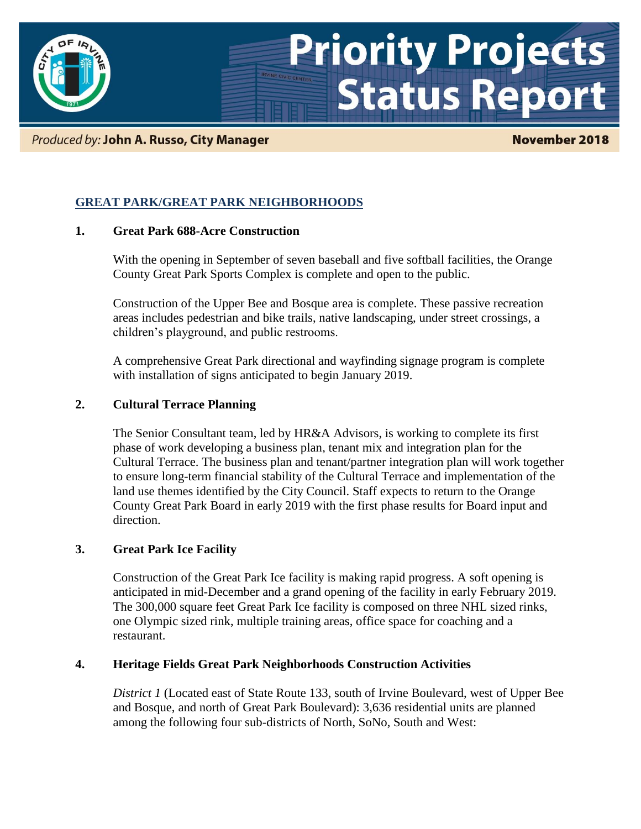

### Produced by: John A. Russo, City Manager

### **November 2018**

# **GREAT PARK/GREAT PARK NEIGHBORHOODS**

### **1. Great Park 688-Acre Construction**

With the opening in September of seven baseball and five softball facilities, the Orange County Great Park Sports Complex is complete and open to the public.

Construction of the Upper Bee and Bosque area is complete. These passive recreation areas includes pedestrian and bike trails, native landscaping, under street crossings, a children's playground, and public restrooms.

A comprehensive Great Park directional and wayfinding signage program is complete with installation of signs anticipated to begin January 2019.

### **2. Cultural Terrace Planning**

The Senior Consultant team, led by HR&A Advisors, is working to complete its first phase of work developing a business plan, tenant mix and integration plan for the Cultural Terrace. The business plan and tenant/partner integration plan will work together to ensure long-term financial stability of the Cultural Terrace and implementation of the land use themes identified by the City Council. Staff expects to return to the Orange County Great Park Board in early 2019 with the first phase results for Board input and direction.

### **3. Great Park Ice Facility**

Construction of the Great Park Ice facility is making rapid progress. A soft opening is anticipated in mid-December and a grand opening of the facility in early February 2019. The 300,000 square feet Great Park Ice facility is composed on three NHL sized rinks, one Olympic sized rink, multiple training areas, office space for coaching and a restaurant.

### **4. Heritage Fields Great Park Neighborhoods Construction Activities**

*District 1* (Located east of State Route 133, south of Irvine Boulevard, west of Upper Bee and Bosque, and north of Great Park Boulevard): 3,636 residential units are planned among the following four sub-districts of North, SoNo, South and West: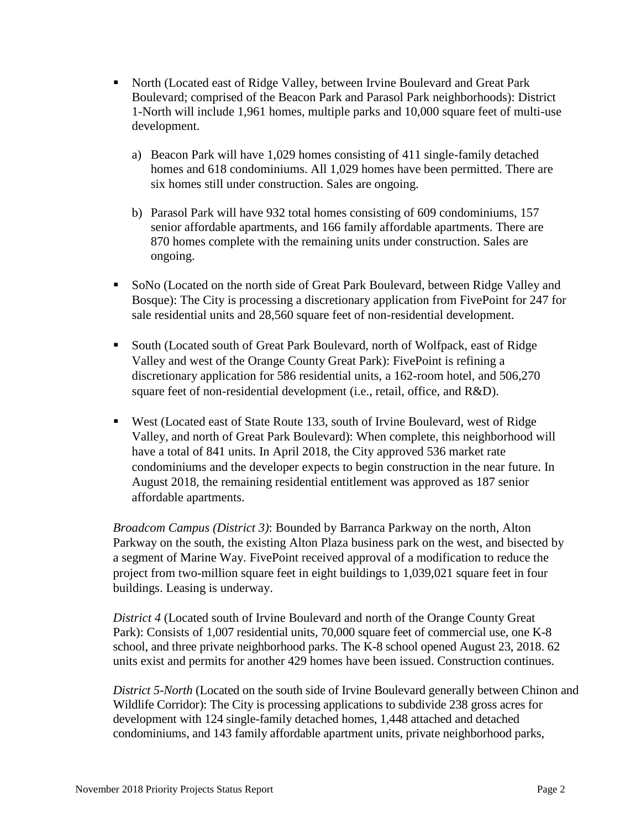- North (Located east of Ridge Valley, between Irvine Boulevard and Great Park Boulevard; comprised of the Beacon Park and Parasol Park neighborhoods): District 1-North will include 1,961 homes, multiple parks and 10,000 square feet of multi-use development.
	- a) Beacon Park will have 1,029 homes consisting of 411 single-family detached homes and 618 condominiums. All 1,029 homes have been permitted. There are six homes still under construction. Sales are ongoing.
	- b) Parasol Park will have 932 total homes consisting of 609 condominiums, 157 senior affordable apartments, and 166 family affordable apartments. There are 870 homes complete with the remaining units under construction. Sales are ongoing.
- SoNo (Located on the north side of Great Park Boulevard, between Ridge Valley and Bosque): The City is processing a discretionary application from FivePoint for 247 for sale residential units and 28,560 square feet of non-residential development.
- South (Located south of Great Park Boulevard, north of Wolfpack, east of Ridge Valley and west of the Orange County Great Park): FivePoint is refining a discretionary application for 586 residential units, a 162-room hotel, and 506,270 square feet of non-residential development (i.e., retail, office, and R&D).
- West (Located east of State Route 133, south of Irvine Boulevard, west of Ridge Valley, and north of Great Park Boulevard): When complete, this neighborhood will have a total of 841 units. In April 2018, the City approved 536 market rate condominiums and the developer expects to begin construction in the near future. In August 2018, the remaining residential entitlement was approved as 187 senior affordable apartments.

*Broadcom Campus (District 3)*: Bounded by Barranca Parkway on the north, Alton Parkway on the south, the existing Alton Plaza business park on the west, and bisected by a segment of Marine Way. FivePoint received approval of a modification to reduce the project from two-million square feet in eight buildings to 1,039,021 square feet in four buildings. Leasing is underway.

*District 4* (Located south of Irvine Boulevard and north of the Orange County Great Park): Consists of 1,007 residential units, 70,000 square feet of commercial use, one K-8 school, and three private neighborhood parks. The K-8 school opened August 23, 2018. 62 units exist and permits for another 429 homes have been issued. Construction continues.

*District 5-North* (Located on the south side of Irvine Boulevard generally between Chinon and Wildlife Corridor): The City is processing applications to subdivide 238 gross acres for development with 124 single-family detached homes, 1,448 attached and detached condominiums, and 143 family affordable apartment units, private neighborhood parks,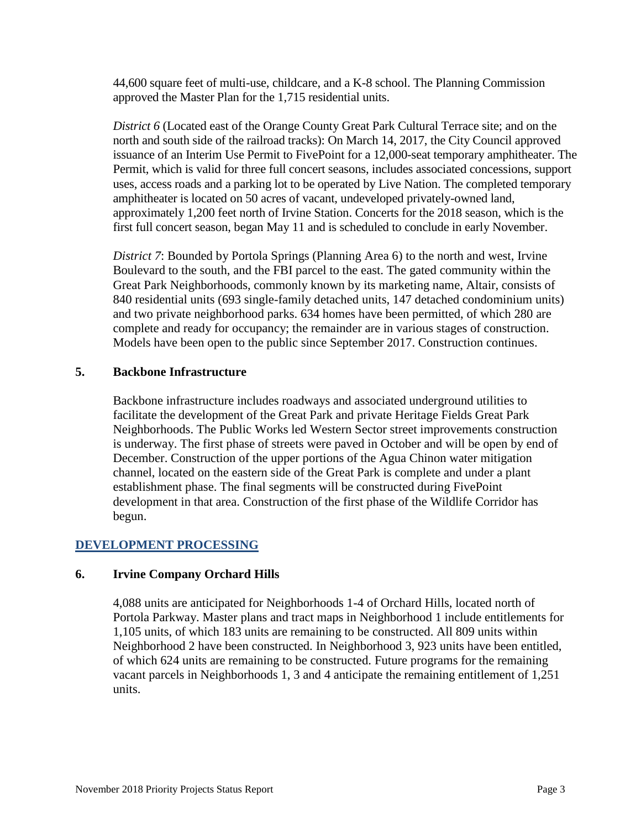44,600 square feet of multi-use, childcare, and a K-8 school. The Planning Commission approved the Master Plan for the 1,715 residential units.

*District 6* (Located east of the Orange County Great Park Cultural Terrace site; and on the north and south side of the railroad tracks): On March 14, 2017, the City Council approved issuance of an Interim Use Permit to FivePoint for a 12,000-seat temporary amphitheater. The Permit, which is valid for three full concert seasons, includes associated concessions, support uses, access roads and a parking lot to be operated by Live Nation. The completed temporary amphitheater is located on 50 acres of vacant, undeveloped privately-owned land, approximately 1,200 feet north of Irvine Station. Concerts for the 2018 season, which is the first full concert season, began May 11 and is scheduled to conclude in early November.

*District 7*: Bounded by Portola Springs (Planning Area 6) to the north and west, Irvine Boulevard to the south, and the FBI parcel to the east. The gated community within the Great Park Neighborhoods, commonly known by its marketing name, Altair, consists of 840 residential units (693 single-family detached units, 147 detached condominium units) and two private neighborhood parks. 634 homes have been permitted, of which 280 are complete and ready for occupancy; the remainder are in various stages of construction. Models have been open to the public since September 2017. Construction continues.

## **5. Backbone Infrastructure**

Backbone infrastructure includes roadways and associated underground utilities to facilitate the development of the Great Park and private Heritage Fields Great Park Neighborhoods. The Public Works led Western Sector street improvements construction is underway. The first phase of streets were paved in October and will be open by end of December. Construction of the upper portions of the Agua Chinon water mitigation channel, located on the eastern side of the Great Park is complete and under a plant establishment phase. The final segments will be constructed during FivePoint development in that area. Construction of the first phase of the Wildlife Corridor has begun.

## **DEVELOPMENT PROCESSING**

### **6. Irvine Company Orchard Hills**

4,088 units are anticipated for Neighborhoods 1-4 of Orchard Hills, located north of Portola Parkway. Master plans and tract maps in Neighborhood 1 include entitlements for 1,105 units, of which 183 units are remaining to be constructed. All 809 units within Neighborhood 2 have been constructed. In Neighborhood 3, 923 units have been entitled, of which 624 units are remaining to be constructed. Future programs for the remaining vacant parcels in Neighborhoods 1, 3 and 4 anticipate the remaining entitlement of 1,251 units.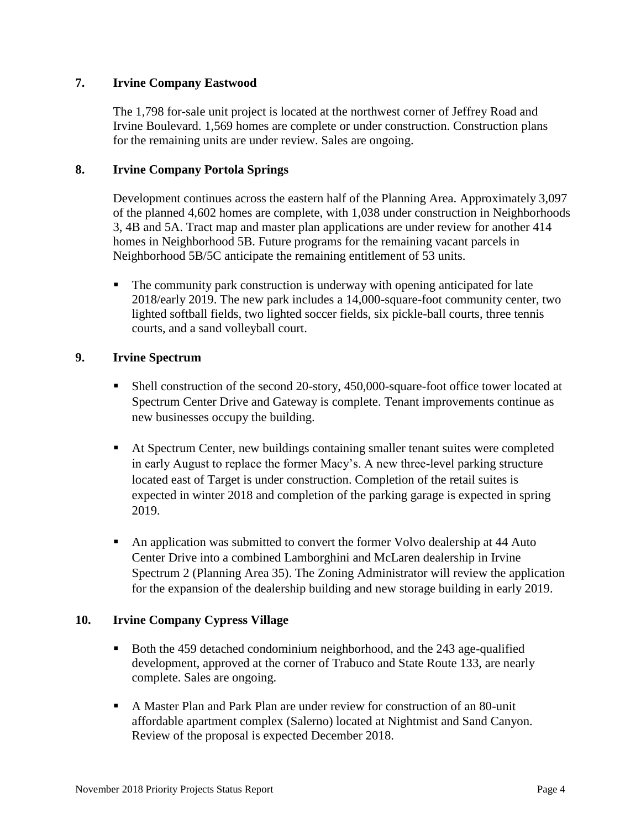## **7. Irvine Company Eastwood**

The 1,798 for-sale unit project is located at the northwest corner of Jeffrey Road and Irvine Boulevard. 1,569 homes are complete or under construction. Construction plans for the remaining units are under review. Sales are ongoing.

### **8. Irvine Company Portola Springs**

Development continues across the eastern half of the Planning Area. Approximately 3,097 of the planned 4,602 homes are complete, with 1,038 under construction in Neighborhoods 3, 4B and 5A. Tract map and master plan applications are under review for another 414 homes in Neighborhood 5B. Future programs for the remaining vacant parcels in Neighborhood 5B/5C anticipate the remaining entitlement of 53 units.

 The community park construction is underway with opening anticipated for late 2018/early 2019. The new park includes a 14,000-square-foot community center, two lighted softball fields, two lighted soccer fields, six pickle-ball courts, three tennis courts, and a sand volleyball court.

## **9. Irvine Spectrum**

- Shell construction of the second 20-story, 450,000-square-foot office tower located at Spectrum Center Drive and Gateway is complete. Tenant improvements continue as new businesses occupy the building.
- At Spectrum Center, new buildings containing smaller tenant suites were completed in early August to replace the former Macy's. A new three-level parking structure located east of Target is under construction. Completion of the retail suites is expected in winter 2018 and completion of the parking garage is expected in spring 2019.
- An application was submitted to convert the former Volvo dealership at 44 Auto Center Drive into a combined Lamborghini and McLaren dealership in Irvine Spectrum 2 (Planning Area 35). The Zoning Administrator will review the application for the expansion of the dealership building and new storage building in early 2019.

### **10. Irvine Company Cypress Village**

- Both the 459 detached condominium neighborhood, and the 243 age-qualified development, approved at the corner of Trabuco and State Route 133, are nearly complete. Sales are ongoing.
- A Master Plan and Park Plan are under review for construction of an 80-unit affordable apartment complex (Salerno) located at Nightmist and Sand Canyon. Review of the proposal is expected December 2018.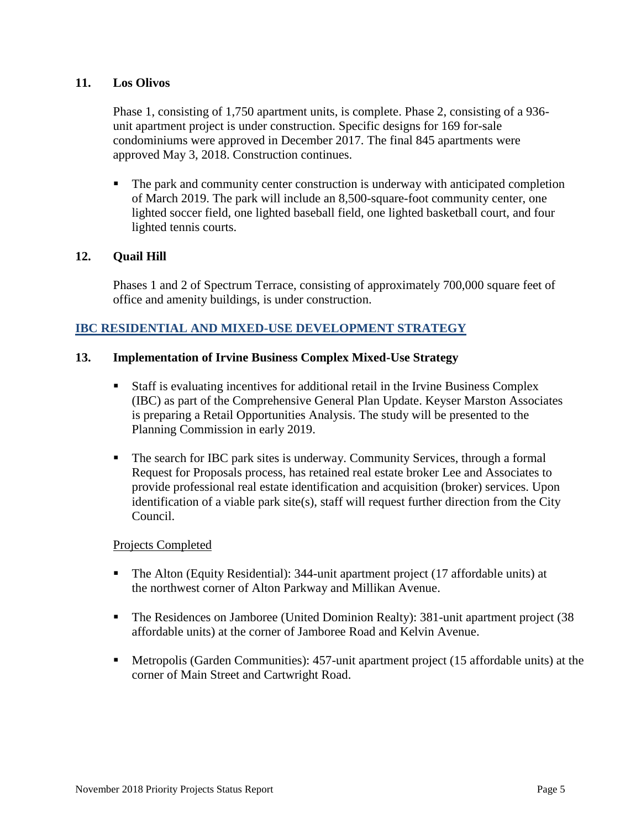## **11. Los Olivos**

Phase 1, consisting of 1,750 apartment units, is complete. Phase 2, consisting of a 936 unit apartment project is under construction. Specific designs for 169 for-sale condominiums were approved in December 2017. The final 845 apartments were approved May 3, 2018. Construction continues.

• The park and community center construction is underway with anticipated completion of March 2019. The park will include an 8,500-square-foot community center, one lighted soccer field, one lighted baseball field, one lighted basketball court, and four lighted tennis courts.

## **12. Quail Hill**

Phases 1 and 2 of Spectrum Terrace, consisting of approximately 700,000 square feet of office and amenity buildings, is under construction.

## **IBC RESIDENTIAL AND MIXED-USE DEVELOPMENT STRATEGY**

### **13. Implementation of Irvine Business Complex Mixed-Use Strategy**

- Staff is evaluating incentives for additional retail in the Irvine Business Complex (IBC) as part of the Comprehensive General Plan Update. Keyser Marston Associates is preparing a Retail Opportunities Analysis. The study will be presented to the Planning Commission in early 2019.
- The search for IBC park sites is underway. Community Services, through a formal Request for Proposals process, has retained real estate broker Lee and Associates to provide professional real estate identification and acquisition (broker) services. Upon identification of a viable park site(s), staff will request further direction from the City Council.

#### Projects Completed

- The Alton (Equity Residential): 344-unit apartment project (17 affordable units) at the northwest corner of Alton Parkway and Millikan Avenue.
- The Residences on Jamboree (United Dominion Realty): 381-unit apartment project (38 affordable units) at the corner of Jamboree Road and Kelvin Avenue.
- Metropolis (Garden Communities): 457-unit apartment project (15 affordable units) at the corner of Main Street and Cartwright Road.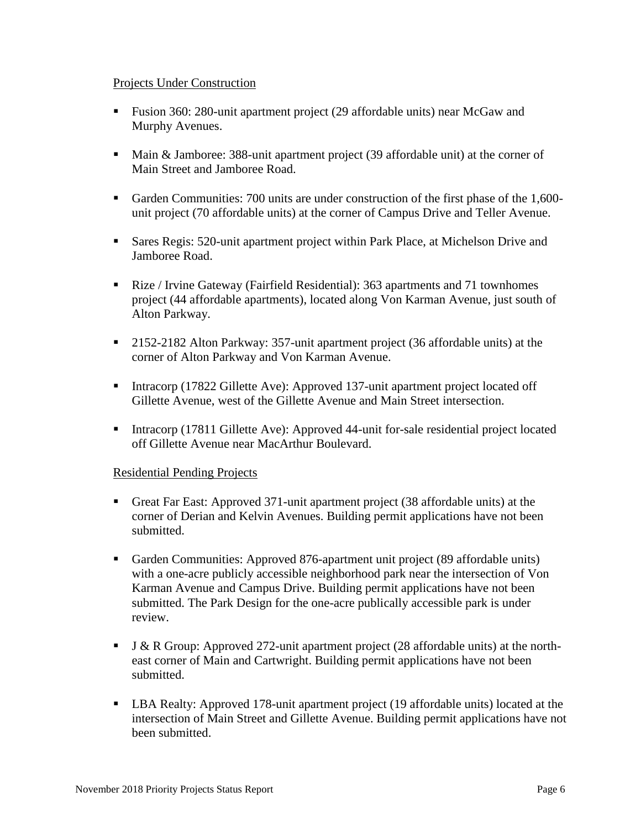### Projects Under Construction

- Fusion 360: 280-unit apartment project (29 affordable units) near McGaw and Murphy Avenues.
- Main & Jamboree: 388-unit apartment project (39 affordable unit) at the corner of Main Street and Jamboree Road.
- Garden Communities: 700 units are under construction of the first phase of the 1,600unit project (70 affordable units) at the corner of Campus Drive and Teller Avenue.
- Sares Regis: 520-unit apartment project within Park Place, at Michelson Drive and Jamboree Road.
- Rize / Irvine Gateway (Fairfield Residential): 363 apartments and 71 townhomes project (44 affordable apartments), located along Von Karman Avenue, just south of Alton Parkway.
- <sup>2152-2182</sup> Alton Parkway: 357-unit apartment project (36 affordable units) at the corner of Alton Parkway and Von Karman Avenue.
- Intracorp (17822 Gillette Ave): Approved 137-unit apartment project located off Gillette Avenue, west of the Gillette Avenue and Main Street intersection.
- Intracorp (17811 Gillette Ave): Approved 44-unit for-sale residential project located off Gillette Avenue near MacArthur Boulevard.

## Residential Pending Projects

- Great Far East: Approved 371-unit apartment project (38 affordable units) at the corner of Derian and Kelvin Avenues. Building permit applications have not been submitted.
- Garden Communities: Approved 876-apartment unit project (89 affordable units) with a one-acre publicly accessible neighborhood park near the intersection of Von Karman Avenue and Campus Drive. Building permit applications have not been submitted. The Park Design for the one-acre publically accessible park is under review.
- $\blacksquare$  J & R Group: Approved 272-unit apartment project (28 affordable units) at the northeast corner of Main and Cartwright. Building permit applications have not been submitted.
- LBA Realty: Approved 178-unit apartment project (19 affordable units) located at the intersection of Main Street and Gillette Avenue. Building permit applications have not been submitted.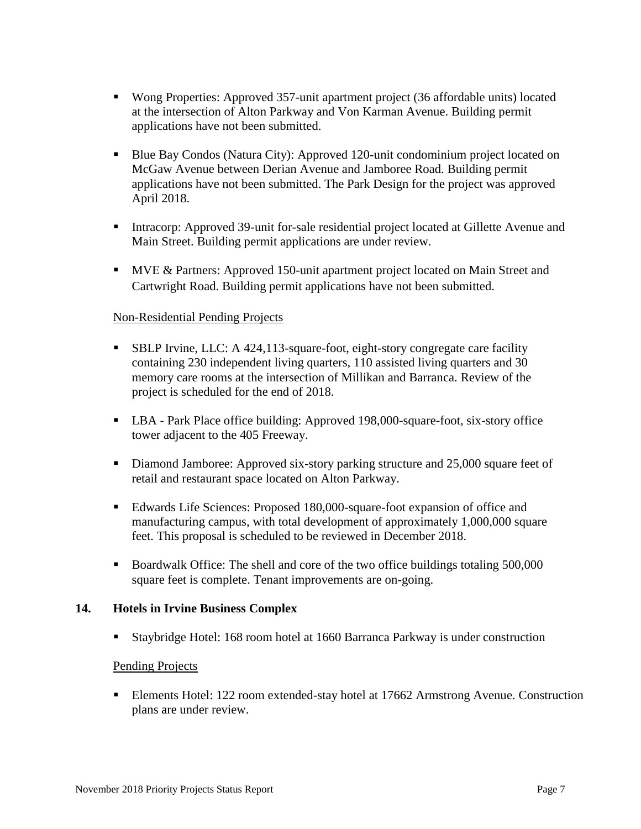- Wong Properties: Approved 357-unit apartment project (36 affordable units) located at the intersection of Alton Parkway and Von Karman Avenue. Building permit applications have not been submitted.
- Blue Bay Condos (Natura City): Approved 120-unit condominium project located on McGaw Avenue between Derian Avenue and Jamboree Road. Building permit applications have not been submitted. The Park Design for the project was approved April 2018.
- Intracorp: Approved 39-unit for-sale residential project located at Gillette Avenue and Main Street. Building permit applications are under review.
- **MVE & Partners: Approved 150-unit apartment project located on Main Street and** Cartwright Road. Building permit applications have not been submitted.

## Non-Residential Pending Projects

- SBLP Irvine, LLC: A 424,113-square-foot, eight-story congregate care facility containing 230 independent living quarters, 110 assisted living quarters and 30 memory care rooms at the intersection of Millikan and Barranca. Review of the project is scheduled for the end of 2018.
- LBA Park Place office building: Approved 198,000-square-foot, six-story office tower adjacent to the 405 Freeway.
- Diamond Jamboree: Approved six-story parking structure and 25,000 square feet of retail and restaurant space located on Alton Parkway.
- Edwards Life Sciences: Proposed 180,000-square-foot expansion of office and manufacturing campus, with total development of approximately 1,000,000 square feet. This proposal is scheduled to be reviewed in December 2018.
- Boardwalk Office: The shell and core of the two office buildings totaling 500,000 square feet is complete. Tenant improvements are on-going.

### **14. Hotels in Irvine Business Complex**

Staybridge Hotel: 168 room hotel at 1660 Barranca Parkway is under construction

### Pending Projects

**Elements Hotel: 122 room extended-stay hotel at 17662 Armstrong Avenue. Construction** plans are under review.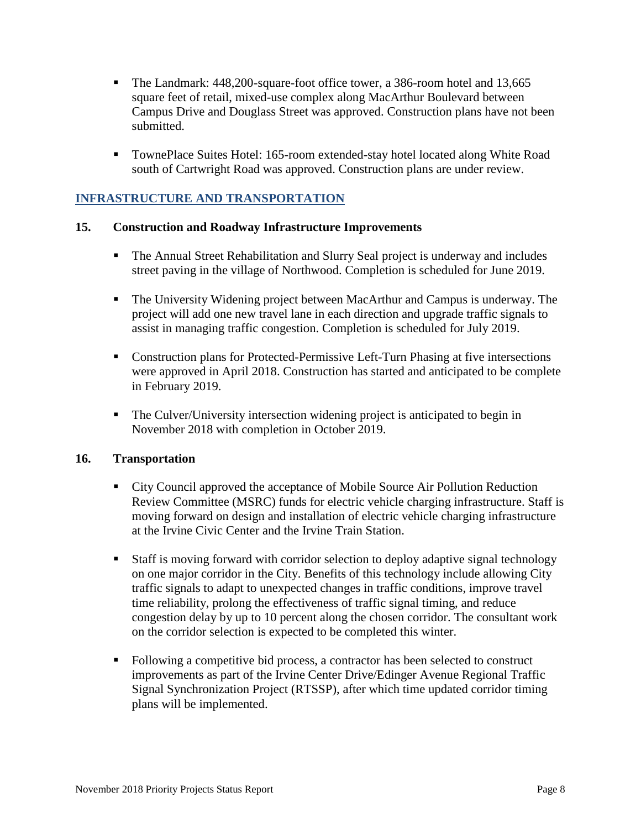- The Landmark: 448,200-square-foot office tower, a 386-room hotel and 13,665 square feet of retail, mixed-use complex along MacArthur Boulevard between Campus Drive and Douglass Street was approved. Construction plans have not been submitted.
- TownePlace Suites Hotel: 165-room extended-stay hotel located along White Road south of Cartwright Road was approved. Construction plans are under review.

# **INFRASTRUCTURE AND TRANSPORTATION**

### **15. Construction and Roadway Infrastructure Improvements**

- The Annual Street Rehabilitation and Slurry Seal project is underway and includes street paving in the village of Northwood. Completion is scheduled for June 2019.
- The University Widening project between MacArthur and Campus is underway. The project will add one new travel lane in each direction and upgrade traffic signals to assist in managing traffic congestion. Completion is scheduled for July 2019.
- Construction plans for Protected-Permissive Left-Turn Phasing at five intersections were approved in April 2018. Construction has started and anticipated to be complete in February 2019.
- The Culver/University intersection widening project is anticipated to begin in November 2018 with completion in October 2019.

### **16. Transportation**

- City Council approved the acceptance of Mobile Source Air Pollution Reduction Review Committee (MSRC) funds for electric vehicle charging infrastructure. Staff is moving forward on design and installation of electric vehicle charging infrastructure at the Irvine Civic Center and the Irvine Train Station.
- Staff is moving forward with corridor selection to deploy adaptive signal technology on one major corridor in the City. Benefits of this technology include allowing City traffic signals to adapt to unexpected changes in traffic conditions, improve travel time reliability, prolong the effectiveness of traffic signal timing, and reduce congestion delay by up to 10 percent along the chosen corridor. The consultant work on the corridor selection is expected to be completed this winter.
- Following a competitive bid process, a contractor has been selected to construct improvements as part of the Irvine Center Drive/Edinger Avenue Regional Traffic Signal Synchronization Project (RTSSP), after which time updated corridor timing plans will be implemented.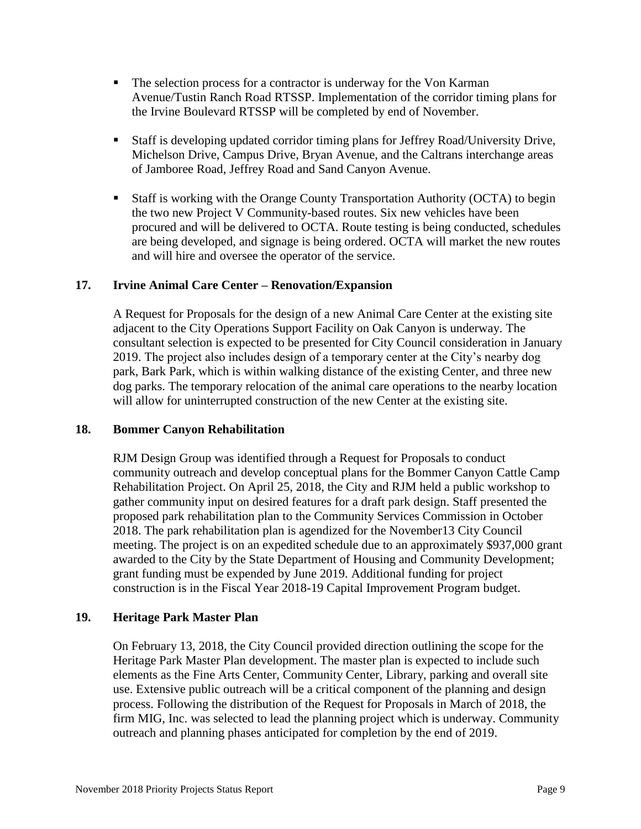- The selection process for a contractor is underway for the Von Karman Avenue/Tustin Ranch Road RTSSP. Implementation of the corridor timing plans for the Irvine Boulevard RTSSP will be completed by end of November.
- Staff is developing updated corridor timing plans for Jeffrey Road/University Drive, Michelson Drive, Campus Drive, Bryan Avenue, and the Caltrans interchange areas of Jamboree Road, Jeffrey Road and Sand Canyon Avenue.
- Staff is working with the Orange County Transportation Authority (OCTA) to begin the two new Project V Community-based routes. Six new vehicles have been procured and will be delivered to OCTA. Route testing is being conducted, schedules are being developed, and signage is being ordered. OCTA will market the new routes and will hire and oversee the operator of the service.

## **17. Irvine Animal Care Center – Renovation/Expansion**

A Request for Proposals for the design of a new Animal Care Center at the existing site adjacent to the City Operations Support Facility on Oak Canyon is underway. The consultant selection is expected to be presented for City Council consideration in January 2019. The project also includes design of a temporary center at the City's nearby dog park, Bark Park, which is within walking distance of the existing Center, and three new dog parks. The temporary relocation of the animal care operations to the nearby location will allow for uninterrupted construction of the new Center at the existing site.

### **18. Bommer Canyon Rehabilitation**

RJM Design Group was identified through a Request for Proposals to conduct community outreach and develop conceptual plans for the Bommer Canyon Cattle Camp Rehabilitation Project. On April 25, 2018, the City and RJM held a public workshop to gather community input on desired features for a draft park design. Staff presented the proposed park rehabilitation plan to the Community Services Commission in October 2018. The park rehabilitation plan is agendized for the November13 City Council meeting. The project is on an expedited schedule due to an approximately \$937,000 grant awarded to the City by the State Department of Housing and Community Development; grant funding must be expended by June 2019. Additional funding for project construction is in the Fiscal Year 2018-19 Capital Improvement Program budget.

### **19. Heritage Park Master Plan**

On February 13, 2018, the City Council provided direction outlining the scope for the Heritage Park Master Plan development. The master plan is expected to include such elements as the Fine Arts Center, Community Center, Library, parking and overall site use. Extensive public outreach will be a critical component of the planning and design process. Following the distribution of the Request for Proposals in March of 2018, the firm MIG, Inc. was selected to lead the planning project which is underway. Community outreach and planning phases anticipated for completion by the end of 2019.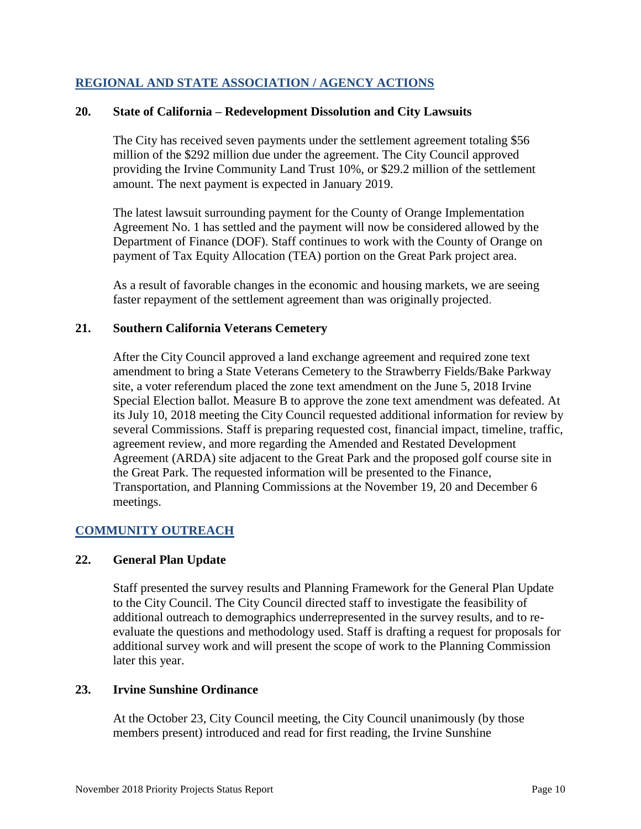## **REGIONAL AND STATE ASSOCIATION / AGENCY ACTIONS**

#### **20. State of California – Redevelopment Dissolution and City Lawsuits**

The City has received seven payments under the settlement agreement totaling \$56 million of the \$292 million due under the agreement. The City Council approved providing the Irvine Community Land Trust 10%, or \$29.2 million of the settlement amount. The next payment is expected in January 2019.

The latest lawsuit surrounding payment for the County of Orange Implementation Agreement No. 1 has settled and the payment will now be considered allowed by the Department of Finance (DOF). Staff continues to work with the County of Orange on payment of Tax Equity Allocation (TEA) portion on the Great Park project area.

As a result of favorable changes in the economic and housing markets, we are seeing faster repayment of the settlement agreement than was originally projected.

#### **21. Southern California Veterans Cemetery**

After the City Council approved a land exchange agreement and required zone text amendment to bring a State Veterans Cemetery to the Strawberry Fields/Bake Parkway site, a voter referendum placed the zone text amendment on the June 5, 2018 Irvine Special Election ballot. Measure B to approve the zone text amendment was defeated. At its July 10, 2018 meeting the City Council requested additional information for review by several Commissions. Staff is preparing requested cost, financial impact, timeline, traffic, agreement review, and more regarding the Amended and Restated Development Agreement (ARDA) site adjacent to the Great Park and the proposed golf course site in the Great Park. The requested information will be presented to the Finance, Transportation, and Planning Commissions at the November 19, 20 and December 6 meetings.

## **COMMUNITY OUTREACH**

### **22. General Plan Update**

Staff presented the survey results and Planning Framework for the General Plan Update to the City Council. The City Council directed staff to investigate the feasibility of additional outreach to demographics underrepresented in the survey results, and to reevaluate the questions and methodology used. Staff is drafting a request for proposals for additional survey work and will present the scope of work to the Planning Commission later this year.

#### **23. Irvine Sunshine Ordinance**

At the October 23, City Council meeting, the City Council unanimously (by those members present) introduced and read for first reading, the Irvine Sunshine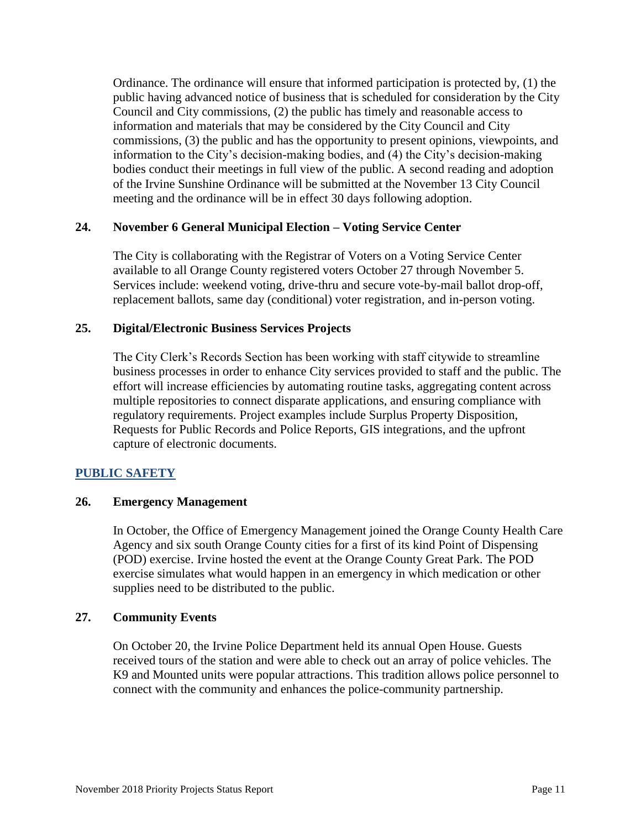Ordinance. The ordinance will ensure that informed participation is protected by, (1) the public having advanced notice of business that is scheduled for consideration by the City Council and City commissions, (2) the public has timely and reasonable access to information and materials that may be considered by the City Council and City commissions, (3) the public and has the opportunity to present opinions, viewpoints, and information to the City's decision-making bodies, and (4) the City's decision-making bodies conduct their meetings in full view of the public. A second reading and adoption of the Irvine Sunshine Ordinance will be submitted at the November 13 City Council meeting and the ordinance will be in effect 30 days following adoption.

### **24. November 6 General Municipal Election – Voting Service Center**

The City is collaborating with the Registrar of Voters on a Voting Service Center available to all Orange County registered voters October 27 through November 5. Services include: weekend voting, drive-thru and secure vote-by-mail ballot drop-off, replacement ballots, same day (conditional) voter registration, and in-person voting.

## **25. Digital/Electronic Business Services Projects**

The City Clerk's Records Section has been working with staff citywide to streamline business processes in order to enhance City services provided to staff and the public. The effort will increase efficiencies by automating routine tasks, aggregating content across multiple repositories to connect disparate applications, and ensuring compliance with regulatory requirements. Project examples include Surplus Property Disposition, Requests for Public Records and Police Reports, GIS integrations, and the upfront capture of electronic documents.

## **PUBLIC SAFETY**

### **26. Emergency Management**

In October, the Office of Emergency Management joined the Orange County Health Care Agency and six south Orange County cities for a first of its kind Point of Dispensing (POD) exercise. Irvine hosted the event at the Orange County Great Park. The POD exercise simulates what would happen in an emergency in which medication or other supplies need to be distributed to the public.

### **27. Community Events**

On October 20, the Irvine Police Department held its annual Open House. Guests received tours of the station and were able to check out an array of police vehicles. The K9 and Mounted units were popular attractions. This tradition allows police personnel to connect with the community and enhances the police-community partnership.